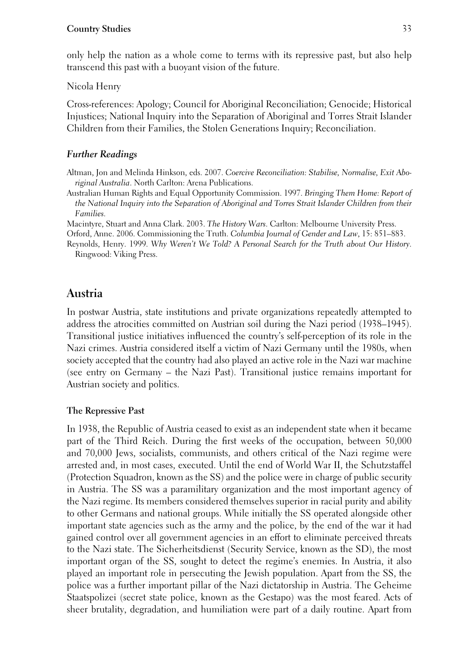only help the nation as a whole come to terms with its repressive past, but also help transcend this past with a buoyant vision of the future.

Nicola Henry

Cross-references: Apology; Council for Aboriginal Reconciliation; Genocide; Historical Injustices; National Inquiry into the Separation of Aboriginal and Torres Strait Islander Children from their Families, the Stolen Generations Inquiry; Reconciliation.

### *Further Readings*

Altman, Jon and Melinda Hinkson, eds. 2007. *Coercive Reconciliation: Stabilise, Normalise, Exit Aboriginal Australia*. North Carlton: Arena Publications.

Australian Human Rights and Equal Opportunity Commission. 1997. *Bringing Them Home: Report of the National Inquiry into the Separation of Aboriginal and Torres Strait Islander Children from their Families*.

Macintyre, Stuart and Anna Clark. 2003. *The History Wars*. Carlton: Melbourne University Press.

Orford, Anne. 2006. Commissioning the Truth. *Columbia Journal of Gender and Law*, 15: 851–883.

Reynolds, Henry. 1999. *Why Weren't We Told? A Personal Search for the Truth about Our History*. Ringwood: Viking Press.

# **Austria**

In postwar Austria, state institutions and private organizations repeatedly attempted to address the atrocities committed on Austrian soil during the Nazi period (1938–1945). Transitional justice initiatives influenced the country's self-perception of its role in the Nazi crimes. Austria considered itself a victim of Nazi Germany until the 1980s, when society accepted that the country had also played an active role in the Nazi war machine (see entry on Germany – the Nazi Past). Transitional justice remains important for Austrian society and politics.

#### **The Repressive Past**

In 1938, the Republic of Austria ceased to exist as an independent state when it became part of the Third Reich. During the first weeks of the occupation, between 50,000 and 70,000 Jews, socialists, communists, and others critical of the Nazi regime were arrested and, in most cases, executed. Until the end of World War II, the Schutzstaffel (Protection Squadron, known as the SS) and the police were in charge of public security in Austria. The SS was a paramilitary organization and the most important agency of the Nazi regime. Its members considered themselves superior in racial purity and ability to other Germans and national groups. While initially the SS operated alongside other important state agencies such as the army and the police, by the end of the war it had gained control over all government agencies in an effort to eliminate perceived threats to the Nazi state. The Sicherheitsdienst (Security Service, known as the SD), the most important organ of the SS, sought to detect the regime's enemies. In Austria, it also played an important role in persecuting the Jewish population. Apart from the SS, the police was a further important pillar of the Nazi dictatorship in Austria. The Geheime Staatspolizei (secret state police, known as the Gestapo) was the most feared. Acts of sheer brutality, degradation, and humiliation were part of a daily routine. Apart from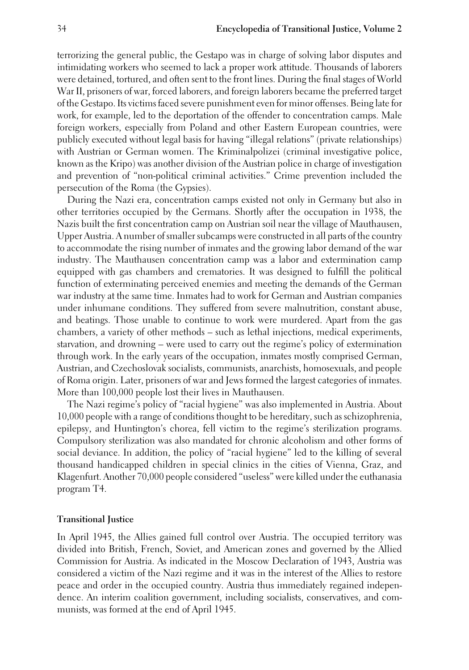terrorizing the general public, the Gestapo was in charge of solving labor disputes and intimidating workers who seemed to lack a proper work attitude. Thousands of laborers were detained, tortured, and often sent to the front lines. During the final stages of World War II, prisoners of war, forced laborers, and foreign laborers became the preferred target of the Gestapo. Its victims faced severe punishment even for minor offenses. Being late for work, for example, led to the deportation of the offender to concentration camps. Male foreign workers, especially from Poland and other Eastern European countries, were publicly executed without legal basis for having "illegal relations" (private relationships) with Austrian or German women. The Kriminalpolizei (criminal investigative police, known as the Kripo) was another division of the Austrian police in charge of investigation and prevention of "non-political criminal activities." Crime prevention included the persecution of the Roma (the Gypsies).

During the Nazi era, concentration camps existed not only in Germany but also in other territories occupied by the Germans. Shortly after the occupation in 1938, the Nazis built the first concentration camp on Austrian soil near the village of Mauthausen, Upper Austria. A number of smaller subcamps were constructed in all parts of the country to accommodate the rising number of inmates and the growing labor demand of the war industry. The Mauthausen concentration camp was a labor and extermination camp equipped with gas chambers and crematories. It was designed to fulfill the political function of exterminating perceived enemies and meeting the demands of the German war industry at the same time. Inmates had to work for German and Austrian companies under inhumane conditions. They suffered from severe malnutrition, constant abuse, and beatings. Those unable to continue to work were murdered. Apart from the gas chambers, a variety of other methods – such as lethal injections, medical experiments, starvation, and drowning – were used to carry out the regime's policy of extermination through work. In the early years of the occupation, inmates mostly comprised German, Austrian, and Czechoslovak socialists, communists, anarchists, homosexuals, and people of Roma origin. Later, prisoners of war and Jews formed the largest categories of inmates. More than 100,000 people lost their lives in Mauthausen.

The Nazi regime's policy of "racial hygiene" was also implemented in Austria. About 10,000 people with a range of conditions thought to be hereditary, such as schizophrenia, epilepsy, and Huntington's chorea, fell victim to the regime's sterilization programs. Compulsory sterilization was also mandated for chronic alcoholism and other forms of social deviance. In addition, the policy of "racial hygiene" led to the killing of several thousand handicapped children in special clinics in the cities of Vienna, Graz, and Klagenfurt. Another 70,000 people considered "useless" were killed under the euthanasia program T4.

## **Transitional Justice**

In April 1945, the Allies gained full control over Austria. The occupied territory was divided into British, French, Soviet, and American zones and governed by the Allied Commission for Austria. As indicated in the Moscow Declaration of 1943, Austria was considered a victim of the Nazi regime and it was in the interest of the Allies to restore peace and order in the occupied country. Austria thus immediately regained independence. An interim coalition government, including socialists, conservatives, and communists, was formed at the end of April 1945.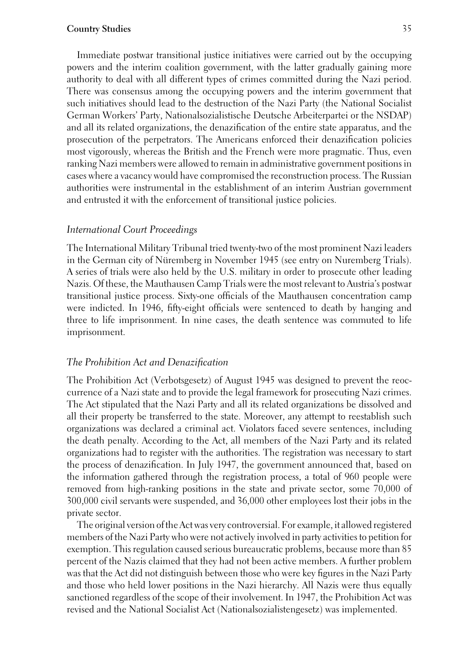Immediate postwar transitional justice initiatives were carried out by the occupying powers and the interim coalition government, with the latter gradually gaining more authority to deal with all different types of crimes committed during the Nazi period. There was consensus among the occupying powers and the interim government that such initiatives should lead to the destruction of the Nazi Party (the National Socialist German Workers' Party, Nationalsozialistische Deutsche Arbeiterpartei or the NSDAP) and all its related organizations, the denazification of the entire state apparatus, and the prosecution of the perpetrators. The Americans enforced their denazification policies most vigorously, whereas the British and the French were more pragmatic. Thus, even ranking Nazi members were allowed to remain in administrative government positions in cases where a vacancy would have compromised the reconstruction process. The Russian authorities were instrumental in the establishment of an interim Austrian government and entrusted it with the enforcement of transitional justice policies.

### *International Court Proceedings*

The International Military Tribunal tried twenty-two of the most prominent Nazi leaders in the German city of Nüremberg in November 1945 (see entry on Nuremberg Trials). A series of trials were also held by the U.S. military in order to prosecute other leading Nazis. Of these, the Mauthausen Camp Trials were the most relevant to Austria's postwar transitional justice process. Sixty-one officials of the Mauthausen concentration camp were indicted. In 1946, fifty-eight officials were sentenced to death by hanging and three to life imprisonment. In nine cases, the death sentence was commuted to life imprisonment.

## *The Prohibition Act and Denazification*

The Prohibition Act (Verbotsgesetz) of August 1945 was designed to prevent the reoccurrence of a Nazi state and to provide the legal framework for prosecuting Nazi crimes. The Act stipulated that the Nazi Party and all its related organizations be dissolved and all their property be transferred to the state. Moreover, any attempt to reestablish such organizations was declared a criminal act. Violators faced severe sentences, including the death penalty. According to the Act, all members of the Nazi Party and its related organizations had to register with the authorities. The registration was necessary to start the process of denazification. In July 1947, the government announced that, based on the information gathered through the registration process, a total of 960 people were removed from high-ranking positions in the state and private sector, some 70,000 of 300,000 civil servants were suspended, and 36,000 other employees lost their jobs in the private sector.

The original version of the Act was very controversial. For example, it allowed registered members of the Nazi Party who were not actively involved in party activities to petition for exemption. This regulation caused serious bureaucratic problems, because more than 85 percent of the Nazis claimed that they had not been active members. A further problem was that the Act did not distinguish between those who were key figures in the Nazi Party and those who held lower positions in the Nazi hierarchy. All Nazis were thus equally sanctioned regardless of the scope of their involvement. In 1947, the Prohibition Act was revised and the National Socialist Act (Nationalsozialistengesetz) was implemented.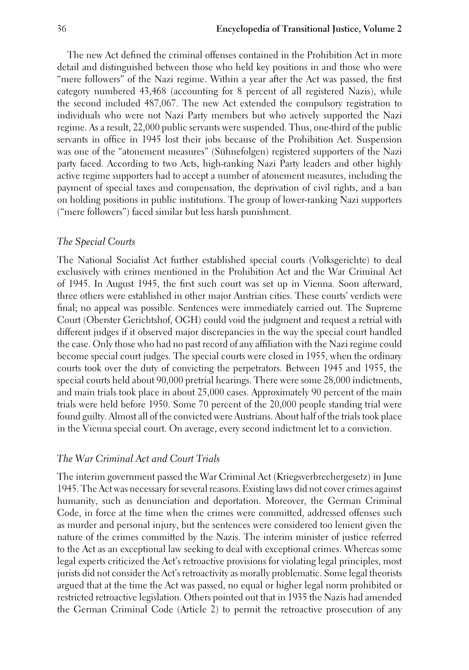The new Act defined the criminal offenses contained in the Prohibition Act in more detail and distinguished between those who held key positions in and those who were "mere followers" of the Nazi regime. Within a year after the Act was passed, the first category numbered 43,468 (accounting for 8 percent of all registered Nazis), while the second included 487,067. The new Act extended the compulsory registration to individuals who were not Nazi Party members but who actively supported the Nazi regime. As a result, 22,000 public servants were suspended. Thus, one-third of the public servants in office in 1945 lost their jobs because of the Prohibition Act. Suspension was one of the "atonement measures" (Sühnefolgen) registered supporters of the Nazi party faced. According to two Acts, high-ranking Nazi Party leaders and other highly active regime supporters had to accept a number of atonement measures, including the payment of special taxes and compensation, the deprivation of civil rights, and a ban on holding positions in public institutions. The group of lower-ranking Nazi supporters ("mere followers") faced similar but less harsh punishment.

## *The Special Courts*

The National Socialist Act further established special courts (Volksgerichte) to deal exclusively with crimes mentioned in the Prohibition Act and the War Criminal Act of 1945. In August 1945, the first such court was set up in Vienna. Soon afterward, three others were established in other major Austrian cities. These courts' verdicts were final; no appeal was possible. Sentences were immediately carried out. The Supreme Court (Oberster Gerichtshof, OGH) could void the judgment and request a retrial with different judges if it observed major discrepancies in the way the special court handled the case. Only those who had no past record of any affiliation with the Nazi regime could become special court judges. The special courts were closed in 1955, when the ordinary courts took over the duty of convicting the perpetrators. Between 1945 and 1955, the special courts held about 90,000 pretrial hearings. There were some 28,000 indictments, and main trials took place in about 25,000 cases. Approximately 90 percent of the main trials were held before 1950. Some 70 percent of the 20,000 people standing trial were found guilty. Almost all of the convicted were Austrians. About half of the trials took place in the Vienna special court. On average, every second indictment let to a conviction.

## *The War Criminal Act and Court Trials*

The interim government passed the War Criminal Act (Kriegsverbrechergesetz) in June 1945. The Act was necessary for several reasons. Existing laws did not cover crimes against humanity, such as denunciation and deportation. Moreover, the German Criminal Code, in force at the time when the crimes were committed, addressed offenses such as murder and personal injury, but the sentences were considered too lenient given the nature of the crimes committed by the Nazis. The interim minister of justice referred to the Act as an exceptional law seeking to deal with exceptional crimes. Whereas some legal experts criticized the Act's retroactive provisions for violating legal principles, most jurists did not consider the Act's retroactivity as morally problematic. Some legal theorists argued that at the time the Act was passed, no equal or higher legal norm prohibited or restricted retroactive legislation. Others pointed out that in 1935 the Nazis had amended the German Criminal Code (Article 2) to permit the retroactive prosecution of any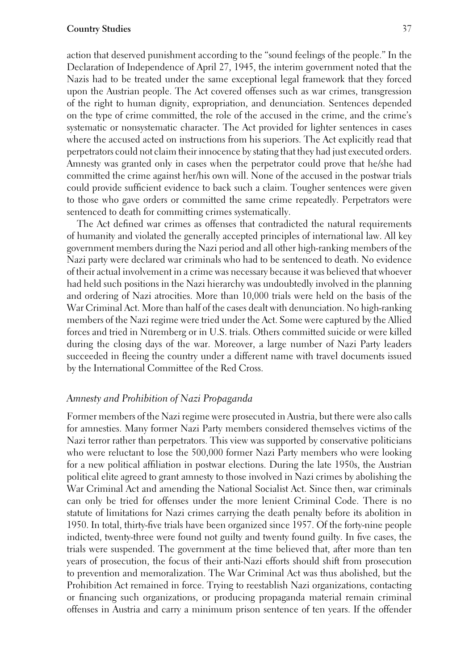action that deserved punishment according to the "sound feelings of the people." In the Declaration of Independence of April 27, 1945, the interim government noted that the Nazis had to be treated under the same exceptional legal framework that they forced upon the Austrian people. The Act covered offenses such as war crimes, transgression of the right to human dignity, expropriation, and denunciation. Sentences depended on the type of crime committed, the role of the accused in the crime, and the crime's systematic or nonsystematic character. The Act provided for lighter sentences in cases where the accused acted on instructions from his superiors. The Act explicitly read that perpetrators could not claim their innocence by stating that they had just executed orders. Amnesty was granted only in cases when the perpetrator could prove that he/she had committed the crime against her/his own will. None of the accused in the postwar trials could provide sufficient evidence to back such a claim. Tougher sentences were given to those who gave orders or committed the same crime repeatedly. Perpetrators were sentenced to death for committing crimes systematically.

The Act defined war crimes as offenses that contradicted the natural requirements of humanity and violated the generally accepted principles of international law. All key government members during the Nazi period and all other high-ranking members of the Nazi party were declared war criminals who had to be sentenced to death. No evidence of their actual involvement in a crime was necessary because it was believed that whoever had held such positions in the Nazi hierarchy was undoubtedly involved in the planning and ordering of Nazi atrocities. More than 10,000 trials were held on the basis of the War Criminal Act. More than half of the cases dealt with denunciation. No high-ranking members of the Nazi regime were tried under the Act. Some were captured by the Allied forces and tried in Nüremberg or in U.S. trials. Others committed suicide or were killed during the closing days of the war. Moreover, a large number of Nazi Party leaders succeeded in fleeing the country under a different name with travel documents issued by the International Committee of the Red Cross.

## *Amnesty and Prohibition of Nazi Propaganda*

Former members of the Nazi regime were prosecuted in Austria, but there were also calls for amnesties. Many former Nazi Party members considered themselves victims of the Nazi terror rather than perpetrators. This view was supported by conservative politicians who were reluctant to lose the 500,000 former Nazi Party members who were looking for a new political affiliation in postwar elections. During the late 1950s, the Austrian political elite agreed to grant amnesty to those involved in Nazi crimes by abolishing the War Criminal Act and amending the National Socialist Act. Since then, war criminals can only be tried for offenses under the more lenient Criminal Code. There is no statute of limitations for Nazi crimes carrying the death penalty before its abolition in 1950. In total, thirty-five trials have been organized since 1957. Of the forty-nine people indicted, twenty-three were found not guilty and twenty found guilty. In five cases, the trials were suspended. The government at the time believed that, after more than ten years of prosecution, the focus of their anti-Nazi efforts should shift from prosecution to prevention and memoralization. The War Criminal Act was thus abolished, but the Prohibition Act remained in force. Trying to reestablish Nazi organizations, contacting or financing such organizations, or producing propaganda material remain criminal offenses in Austria and carry a minimum prison sentence of ten years. If the offender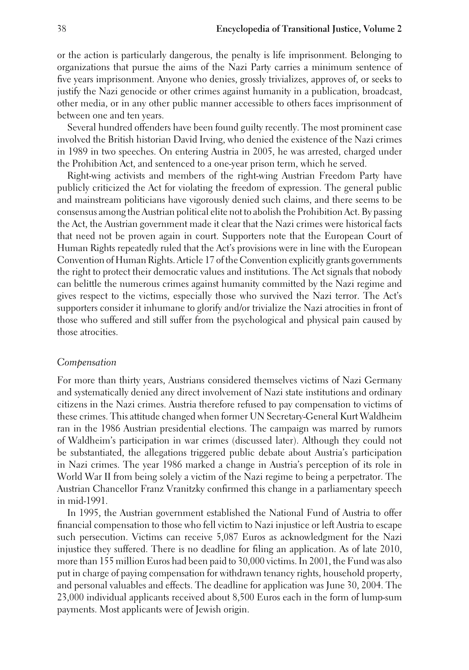or the action is particularly dangerous, the penalty is life imprisonment. Belonging to organizations that pursue the aims of the Nazi Party carries a minimum sentence of five years imprisonment. Anyone who denies, grossly trivializes, approves of, or seeks to justify the Nazi genocide or other crimes against humanity in a publication, broadcast, other media, or in any other public manner accessible to others faces imprisonment of between one and ten years.

Several hundred offenders have been found guilty recently. The most prominent case involved the British historian David Irving, who denied the existence of the Nazi crimes in 1989 in two speeches. On entering Austria in 2005, he was arrested, charged under the Prohibition Act, and sentenced to a one-year prison term, which he served.

Right-wing activists and members of the right-wing Austrian Freedom Party have publicly criticized the Act for violating the freedom of expression. The general public and mainstream politicians have vigorously denied such claims, and there seems to be consensus among the Austrian political elite not to abolish the Prohibition Act. By passing the Act, the Austrian government made it clear that the Nazi crimes were historical facts that need not be proven again in court. Supporters note that the European Court of Human Rights repeatedly ruled that the Act's provisions were in line with the European Convention of Human Rights. Article 17 of the Convention explicitly grants governments the right to protect their democratic values and institutions. The Act signals that nobody can belittle the numerous crimes against humanity committed by the Nazi regime and gives respect to the victims, especially those who survived the Nazi terror. The Act's supporters consider it inhumane to glorify and/or trivialize the Nazi atrocities in front of those who suffered and still suffer from the psychological and physical pain caused by those atrocities.

#### *Compensation*

For more than thirty years, Austrians considered themselves victims of Nazi Germany and systematically denied any direct involvement of Nazi state institutions and ordinary citizens in the Nazi crimes. Austria therefore refused to pay compensation to victims of these crimes. This attitude changed when former UN Secretary-General Kurt Waldheim ran in the 1986 Austrian presidential elections. The campaign was marred by rumors of Waldheim's participation in war crimes (discussed later). Although they could not be substantiated, the allegations triggered public debate about Austria's participation in Nazi crimes. The year 1986 marked a change in Austria's perception of its role in World War II from being solely a victim of the Nazi regime to being a perpetrator. The Austrian Chancellor Franz Vranitzky confirmed this change in a parliamentary speech in mid-1991.

In 1995, the Austrian government established the National Fund of Austria to offer financial compensation to those who fell victim to Nazi injustice or left Austria to escape such persecution. Victims can receive 5,087 Euros as acknowledgment for the Nazi injustice they suffered. There is no deadline for filing an application. As of late 2010, more than 155 million Euros had been paid to 30,000 victims. In 2001, the Fund was also put in charge of paying compensation for withdrawn tenancy rights, household property, and personal valuables and effects. The deadline for application was June 30, 2004. The 23,000 individual applicants received about 8,500 Euros each in the form of lump-sum payments. Most applicants were of Jewish origin.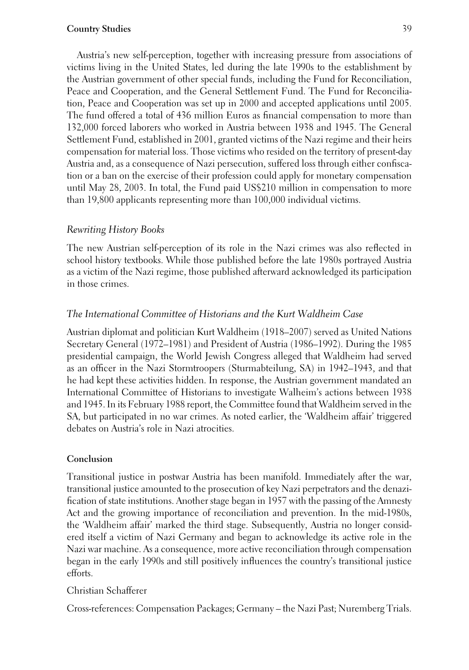Austria's new self-perception, together with increasing pressure from associations of victims living in the United States, led during the late 1990s to the establishment by the Austrian government of other special funds, including the Fund for Reconciliation, Peace and Cooperation, and the General Settlement Fund. The Fund for Reconciliation, Peace and Cooperation was set up in 2000 and accepted applications until 2005. The fund offered a total of 436 million Euros as financial compensation to more than 132,000 forced laborers who worked in Austria between 1938 and 1945. The General Settlement Fund, established in 2001, granted victims of the Nazi regime and their heirs compensation for material loss. Those victims who resided on the territory of present-day Austria and, as a consequence of Nazi persecution, suffered loss through either confiscation or a ban on the exercise of their profession could apply for monetary compensation until May 28, 2003. In total, the Fund paid US\$210 million in compensation to more than 19,800 applicants representing more than 100,000 individual victims.

## *Rewriting History Books*

The new Austrian self-perception of its role in the Nazi crimes was also reflected in school history textbooks. While those published before the late 1980s portrayed Austria as a victim of the Nazi regime, those published afterward acknowledged its participation in those crimes.

## *The International Committee of Historians and the Kurt Waldheim Case*

Austrian diplomat and politician Kurt Waldheim (1918–2007) served as United Nations Secretary General (1972–1981) and President of Austria (1986–1992). During the 1985 presidential campaign, the World Jewish Congress alleged that Waldheim had served as an officer in the Nazi Stormtroopers (Sturmabteilung, SA) in 1942–1943, and that he had kept these activities hidden. In response, the Austrian government mandated an International Committee of Historians to investigate Walheim's actions between 1938 and 1945. In its February 1988 report, the Committee found that Waldheim served in the SA, but participated in no war crimes. As noted earlier, the 'Waldheim affair' triggered debates on Austria's role in Nazi atrocities.

#### **Conclusion**

Transitional justice in postwar Austria has been manifold. Immediately after the war, transitional justice amounted to the prosecution of key Nazi perpetrators and the denazification of state institutions. Another stage began in 1957 with the passing of the Amnesty Act and the growing importance of reconciliation and prevention. In the mid-1980s, the 'Waldheim affair' marked the third stage. Subsequently, Austria no longer considered itself a victim of Nazi Germany and began to acknowledge its active role in the Nazi war machine. As a consequence, more active reconciliation through compensation began in the early 1990s and still positively influences the country's transitional justice efforts.

## Christian Schafferer

Cross-references: Compensation Packages; Germany – the Nazi Past; Nuremberg Trials.